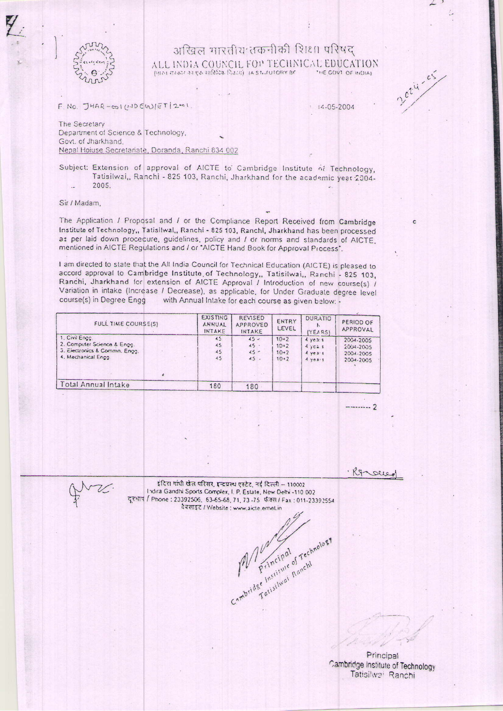## अखिल भारतीय तकनीकी शिक्षा परिषद ALL INDIA COUNCIL FOR TECHNICAL EDUCATION

 $F.NO. JHAR-GO1(UJDCW)ET|2-01$ 

14-05-2004

2024-05

The Secretary Department of Science & Technology, Govt. of Jharkhand. Nepal Hoiuse Secretariate, Doranda, Ranchi 834 002

Subject: Extension of approval of AICTE to Cambridge Institute of Technology, Tatisilwai, Ranchi - 825 103, Ranchi, Jharkhand for the academic year 2004-2005.

Sir / Madam,

The Application / Proposal and / or the Compliance Report Received from Cambridge Institute of Technology,, Tatisilwal,, Ranchi - 825 103, Ranchi, Jharkhand has been processed as per laid down procecure, guidelines, policy and I or norms and standards of AICTE. mentioned in AICTE Regulations and / or "AICTE Hand Book for Approval Process".

I am directed to state that the All India Council for Technical Education (AICTE) is pleased to accord approval to Cambridge Institute of Technology, Tatisilwai, Ranchi - 825 103, Ranchi, Jharkhand for extension of AICTE Approval / Introduction of new course(s) / Variation in intake (Increase / Decrease), as applicable, for Under Graduate degree level course(s) in Degree Engg with Annual Intake for each course as given below: -

| FULL TIME COURSE(S)                                                                                   | EXISTING<br>ANNUAL<br>INTAKE | <b>REVISED</b><br>APPROVED<br>INTAKE | ENTRY<br>LEVEL                         | <b>DURATIO</b><br>(YEARS)                | PERIOD OF<br>APPROVAL                                |
|-------------------------------------------------------------------------------------------------------|------------------------------|--------------------------------------|----------------------------------------|------------------------------------------|------------------------------------------------------|
| 1. Civil Enec.<br>2. Computer Science & Engg.<br>3. Electronics & Commn. Engg.<br>4. Mechanical Engg. | 45<br>45<br>45<br>45         | $45 -$<br>45.<br>$45 -$<br>45.       | $10+2$<br>$10+2$<br>$10+2$<br>$10 - 2$ | 4 ye3:5<br>47c4.1<br>4 ye31<br>$4$ years | 2004-2005<br>$2004 - 2005$<br>2004-2005<br>2004-2005 |
| Total Annual Intake                                                                                   | 180                          | 180                                  |                                        |                                          |                                                      |
|                                                                                                       |                              |                                      |                                        |                                          |                                                      |

· Resourd

------- 2

इंदिरा गांधी खेल परिसर, इन्द्रप्रस्थ एस्टेट, नई दिल्ली - 110002 Indira Gandhi Sports Complex, I. P. Estate, New Delhi -110 002 दूरभाष / Phone: 23392506, 63-65-68, 71, 73-75 फेक्स / Fax: 011-23392554 वेबसाइट / Website: www.aicte.erneLin

Cambridge Institute of Technology

Principal Cambridge Institute of Technology Tatisilwai Ranchi